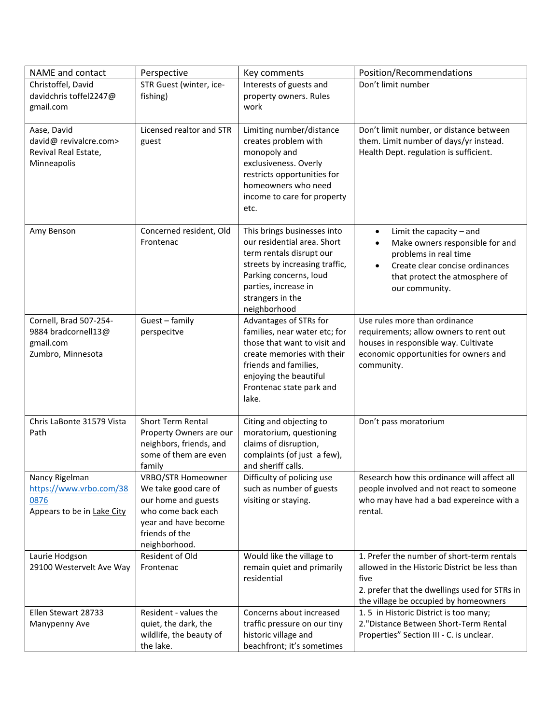| NAME and contact                                                                | Perspective                                                                                                                                               | Key comments                                                                                                                                                                                                   | Position/Recommendations                                                                                                                                                                                             |
|---------------------------------------------------------------------------------|-----------------------------------------------------------------------------------------------------------------------------------------------------------|----------------------------------------------------------------------------------------------------------------------------------------------------------------------------------------------------------------|----------------------------------------------------------------------------------------------------------------------------------------------------------------------------------------------------------------------|
| Christoffel, David<br>davidchris toffel2247@<br>gmail.com                       | STR Guest (winter, ice-<br>fishing)                                                                                                                       | Interests of guests and<br>property owners. Rules<br>work                                                                                                                                                      | Don't limit number                                                                                                                                                                                                   |
| Aase, David<br>david@ revivalcre.com><br>Revival Real Estate,<br>Minneapolis    | Licensed realtor and STR<br>guest                                                                                                                         | Limiting number/distance<br>creates problem with<br>monopoly and<br>exclusiveness. Overly<br>restricts opportunities for<br>homeowners who need<br>income to care for property<br>etc.                         | Don't limit number, or distance between<br>them. Limit number of days/yr instead.<br>Health Dept. regulation is sufficient.                                                                                          |
| Amy Benson                                                                      | Concerned resident, Old<br>Frontenac                                                                                                                      | This brings businesses into<br>our residential area. Short<br>term rentals disrupt our<br>streets by increasing traffic,<br>Parking concerns, loud<br>parties, increase in<br>strangers in the<br>neighborhood | Limit the capacity $-$ and<br>$\bullet$<br>Make owners responsible for and<br>$\bullet$<br>problems in real time<br>Create clear concise ordinances<br>$\bullet$<br>that protect the atmosphere of<br>our community. |
| Cornell, Brad 507-254-<br>9884 bradcornell13@<br>gmail.com<br>Zumbro, Minnesota | Guest - family<br>perspecitve                                                                                                                             | Advantages of STRs for<br>families, near water etc; for<br>those that want to visit and<br>create memories with their<br>friends and families,<br>enjoying the beautiful<br>Frontenac state park and<br>lake.  | Use rules more than ordinance<br>requirements; allow owners to rent out<br>houses in responsible way. Cultivate<br>economic opportunities for owners and<br>community.                                               |
| Chris LaBonte 31579 Vista<br>Path                                               | <b>Short Term Rental</b><br>Property Owners are our<br>neighbors, friends, and<br>some of them are even<br>family                                         | Citing and objecting to<br>moratorium, questioning<br>claims of disruption,<br>complaints (of just a few),<br>and sheriff calls.                                                                               | Don't pass moratorium                                                                                                                                                                                                |
| Nancy Rigelman<br>https://www.vrbo.com/38<br>0876<br>Appears to be in Lake City | <b>VRBO/STR Homeowner</b><br>We take good care of<br>our home and guests<br>who come back each<br>year and have become<br>friends of the<br>neighborhood. | Difficulty of policing use<br>such as number of guests<br>visiting or staying.                                                                                                                                 | Research how this ordinance will affect all<br>people involved and not react to someone<br>who may have had a bad expereince with a<br>rental.                                                                       |
| Laurie Hodgson<br>29100 Westervelt Ave Way                                      | Resident of Old<br>Frontenac                                                                                                                              | Would like the village to<br>remain quiet and primarily<br>residential                                                                                                                                         | 1. Prefer the number of short-term rentals<br>allowed in the Historic District be less than<br>five<br>2. prefer that the dwellings used for STRs in<br>the village be occupied by homeowners                        |
| Ellen Stewart 28733<br>Manypenny Ave                                            | Resident - values the<br>quiet, the dark, the<br>wildlife, the beauty of<br>the lake.                                                                     | Concerns about increased<br>traffic pressure on our tiny<br>historic village and<br>beachfront; it's sometimes                                                                                                 | 1.5 in Historic District is too many;<br>2. "Distance Between Short-Term Rental<br>Properties" Section III - C. is unclear.                                                                                          |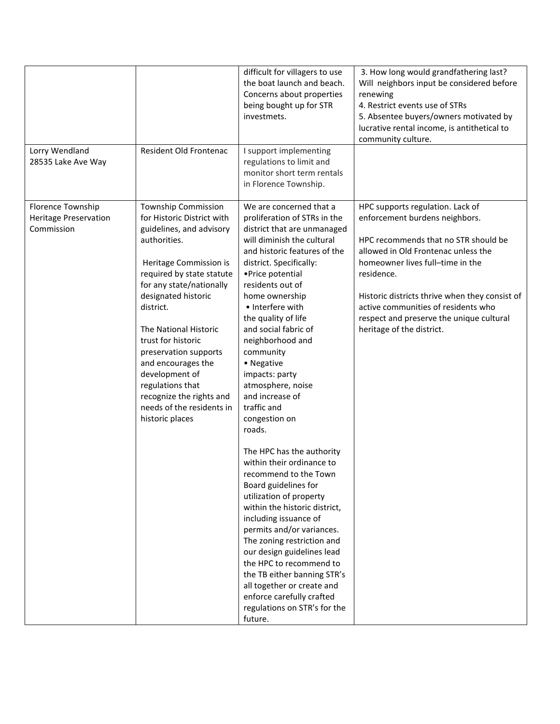|                                                                 |                                                                                                                                                                                                                                                                                                                                                                                                                                             | difficult for villagers to use<br>the boat launch and beach.<br>Concerns about properties<br>being bought up for STR<br>investmets.                                                                                                                                                                                                                                                                                                                                                                                                                                                                                                                                                                                                                                                                                                                                                                                       | 3. How long would grandfathering last?<br>Will neighbors input be considered before<br>renewing<br>4. Restrict events use of STRs<br>5. Absentee buyers/owners motivated by<br>lucrative rental income, is antithetical to<br>community culture.                                                                                                                      |
|-----------------------------------------------------------------|---------------------------------------------------------------------------------------------------------------------------------------------------------------------------------------------------------------------------------------------------------------------------------------------------------------------------------------------------------------------------------------------------------------------------------------------|---------------------------------------------------------------------------------------------------------------------------------------------------------------------------------------------------------------------------------------------------------------------------------------------------------------------------------------------------------------------------------------------------------------------------------------------------------------------------------------------------------------------------------------------------------------------------------------------------------------------------------------------------------------------------------------------------------------------------------------------------------------------------------------------------------------------------------------------------------------------------------------------------------------------------|-----------------------------------------------------------------------------------------------------------------------------------------------------------------------------------------------------------------------------------------------------------------------------------------------------------------------------------------------------------------------|
| Lorry Wendland<br>28535 Lake Ave Way                            | Resident Old Frontenac                                                                                                                                                                                                                                                                                                                                                                                                                      | I support implementing<br>regulations to limit and<br>monitor short term rentals<br>in Florence Township.                                                                                                                                                                                                                                                                                                                                                                                                                                                                                                                                                                                                                                                                                                                                                                                                                 |                                                                                                                                                                                                                                                                                                                                                                       |
| Florence Township<br><b>Heritage Preservation</b><br>Commission | <b>Township Commission</b><br>for Historic District with<br>guidelines, and advisory<br>authorities.<br>Heritage Commission is<br>required by state statute<br>for any state/nationally<br>designated historic<br>district.<br>The National Historic<br>trust for historic<br>preservation supports<br>and encourages the<br>development of<br>regulations that<br>recognize the rights and<br>needs of the residents in<br>historic places | We are concerned that a<br>proliferation of STRs in the<br>district that are unmanaged<br>will diminish the cultural<br>and historic features of the<br>district. Specifically:<br>• Price potential<br>residents out of<br>home ownership<br>• Interfere with<br>the quality of life<br>and social fabric of<br>neighborhood and<br>community<br>• Negative<br>impacts: party<br>atmosphere, noise<br>and increase of<br>traffic and<br>congestion on<br>roads.<br>The HPC has the authority<br>within their ordinance to<br>recommend to the Town<br>Board guidelines for<br>utilization of property<br>within the historic district,<br>including issuance of<br>permits and/or variances.<br>The zoning restriction and<br>our design guidelines lead<br>the HPC to recommend to<br>the TB either banning STR's<br>all together or create and<br>enforce carefully crafted<br>regulations on STR's for the<br>future. | HPC supports regulation. Lack of<br>enforcement burdens neighbors.<br>HPC recommends that no STR should be<br>allowed in Old Frontenac unless the<br>homeowner lives full-time in the<br>residence.<br>Historic districts thrive when they consist of<br>active communities of residents who<br>respect and preserve the unique cultural<br>heritage of the district. |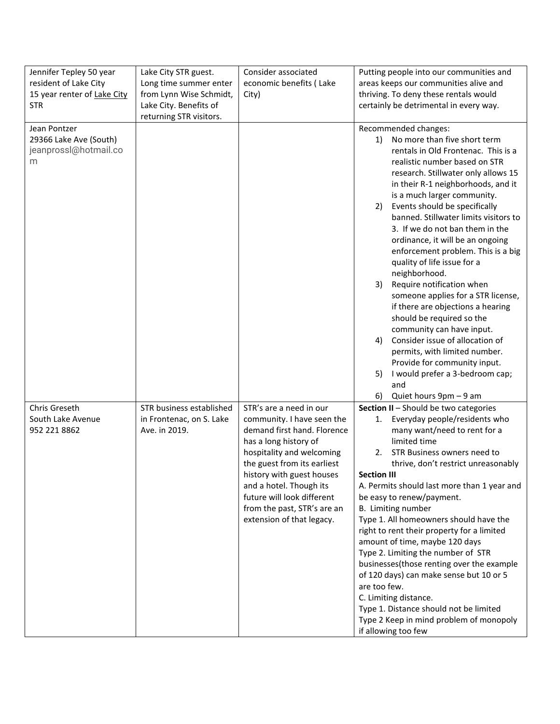| Jennifer Tepley 50 year<br>resident of Lake City<br>15 year renter of Lake City<br><b>STR</b> | Lake City STR guest.<br>Long time summer enter<br>from Lynn Wise Schmidt,<br>Lake City. Benefits of<br>returning STR visitors. | Consider associated<br>economic benefits (Lake<br>City)                                                                                                                                                                                                                                                                     | Putting people into our communities and<br>areas keeps our communities alive and<br>thriving. To deny these rentals would<br>certainly be detrimental in every way.                                                                                                                                                                                                                                                                                                                                                                                                                                                                                                                                                                                                                                                                                           |
|-----------------------------------------------------------------------------------------------|--------------------------------------------------------------------------------------------------------------------------------|-----------------------------------------------------------------------------------------------------------------------------------------------------------------------------------------------------------------------------------------------------------------------------------------------------------------------------|---------------------------------------------------------------------------------------------------------------------------------------------------------------------------------------------------------------------------------------------------------------------------------------------------------------------------------------------------------------------------------------------------------------------------------------------------------------------------------------------------------------------------------------------------------------------------------------------------------------------------------------------------------------------------------------------------------------------------------------------------------------------------------------------------------------------------------------------------------------|
| Jean Pontzer<br>29366 Lake Ave (South)<br>jeanprossl@hotmail.co<br>m                          |                                                                                                                                |                                                                                                                                                                                                                                                                                                                             | Recommended changes:<br>No more than five short term<br>1)<br>rentals in Old Frontenac. This is a<br>realistic number based on STR<br>research. Stillwater only allows 15<br>in their R-1 neighborhoods, and it<br>is a much larger community.<br>Events should be specifically<br>2)<br>banned. Stillwater limits visitors to<br>3. If we do not ban them in the<br>ordinance, it will be an ongoing<br>enforcement problem. This is a big<br>quality of life issue for a<br>neighborhood.<br>Require notification when<br>3)<br>someone applies for a STR license,<br>if there are objections a hearing<br>should be required so the<br>community can have input.<br>Consider issue of allocation of<br>4)<br>permits, with limited number.<br>Provide for community input.<br>I would prefer a 3-bedroom cap;<br>5)<br>and<br>Quiet hours 9pm - 9 am<br>6) |
| Chris Greseth<br>South Lake Avenue<br>952 221 8862                                            | STR business established<br>in Frontenac, on S. Lake<br>Ave. in 2019.                                                          | STR's are a need in our<br>community. I have seen the<br>demand first hand. Florence<br>has a long history of<br>hospitality and welcoming<br>the guest from its earliest<br>history with guest houses<br>and a hotel. Though its<br>future will look different<br>from the past, STR's are an<br>extension of that legacy. | Section II - Should be two categories<br>Everyday people/residents who<br>1.<br>many want/need to rent for a<br>limited time<br>STR Business owners need to<br>2.<br>thrive, don't restrict unreasonably<br><b>Section III</b><br>A. Permits should last more than 1 year and<br>be easy to renew/payment.<br>B. Limiting number<br>Type 1. All homeowners should have the<br>right to rent their property for a limited<br>amount of time, maybe 120 days<br>Type 2. Limiting the number of STR<br>businesses(those renting over the example<br>of 120 days) can make sense but 10 or 5<br>are too few.<br>C. Limiting distance.<br>Type 1. Distance should not be limited<br>Type 2 Keep in mind problem of monopoly<br>if allowing too few                                                                                                                 |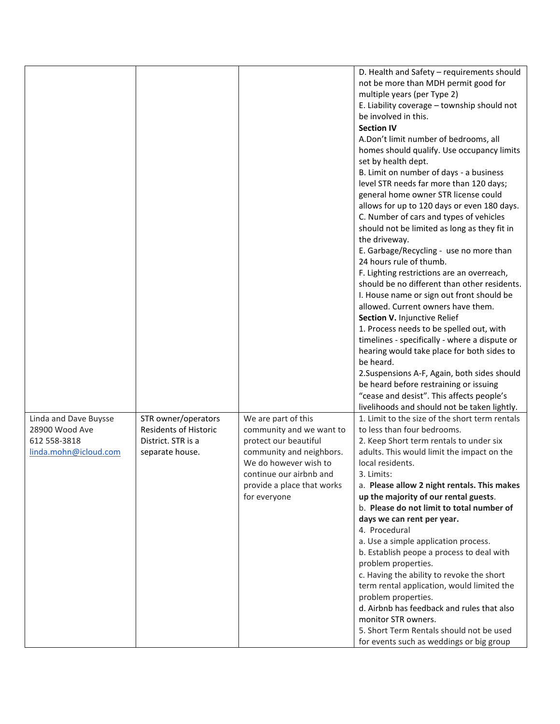|                                         |                                                     |                            | D. Health and Safety - requirements should                                    |
|-----------------------------------------|-----------------------------------------------------|----------------------------|-------------------------------------------------------------------------------|
|                                         |                                                     |                            | not be more than MDH permit good for                                          |
|                                         |                                                     |                            | multiple years (per Type 2)                                                   |
|                                         |                                                     |                            | E. Liability coverage - township should not                                   |
|                                         |                                                     |                            | be involved in this.                                                          |
|                                         |                                                     |                            | <b>Section IV</b>                                                             |
|                                         |                                                     |                            | A.Don't limit number of bedrooms, all                                         |
|                                         |                                                     |                            | homes should qualify. Use occupancy limits                                    |
|                                         |                                                     |                            | set by health dept.                                                           |
|                                         |                                                     |                            | B. Limit on number of days - a business                                       |
|                                         |                                                     |                            | level STR needs far more than 120 days;                                       |
|                                         |                                                     |                            | general home owner STR license could                                          |
|                                         |                                                     |                            | allows for up to 120 days or even 180 days.                                   |
|                                         |                                                     |                            | C. Number of cars and types of vehicles                                       |
|                                         |                                                     |                            | should not be limited as long as they fit in                                  |
|                                         |                                                     |                            | the driveway.                                                                 |
|                                         |                                                     |                            | E. Garbage/Recycling - use no more than                                       |
|                                         |                                                     |                            | 24 hours rule of thumb.                                                       |
|                                         |                                                     |                            | F. Lighting restrictions are an overreach,                                    |
|                                         |                                                     |                            | should be no different than other residents.                                  |
|                                         |                                                     |                            | I. House name or sign out front should be                                     |
|                                         |                                                     |                            | allowed. Current owners have them.                                            |
|                                         |                                                     |                            | Section V. Injunctive Relief                                                  |
|                                         |                                                     |                            | 1. Process needs to be spelled out, with                                      |
|                                         |                                                     |                            | timelines - specifically - where a dispute or                                 |
|                                         |                                                     |                            | hearing would take place for both sides to                                    |
|                                         |                                                     |                            | be heard.                                                                     |
|                                         |                                                     |                            | 2. Suspensions A-F, Again, both sides should                                  |
|                                         |                                                     |                            | be heard before restraining or issuing                                        |
|                                         |                                                     |                            | "cease and desist". This affects people's                                     |
|                                         |                                                     |                            |                                                                               |
|                                         |                                                     |                            | livelihoods and should not be taken lightly.                                  |
| Linda and Dave Buysse<br>28900 Wood Ave | STR owner/operators<br><b>Residents of Historic</b> | We are part of this        | 1. Limit to the size of the short term rentals<br>to less than four bedrooms. |
|                                         |                                                     | community and we want to   |                                                                               |
| 612 558-3818                            | District. STR is a                                  | protect our beautiful      | 2. Keep Short term rentals to under six                                       |
| linda.mohn@icloud.com                   | separate house.                                     | community and neighbors.   | adults. This would limit the impact on the                                    |
|                                         |                                                     | We do however wish to      | local residents.                                                              |
|                                         |                                                     | continue our airbnb and    | 3. Limits:                                                                    |
|                                         |                                                     | provide a place that works | a. Please allow 2 night rentals. This makes                                   |
|                                         |                                                     | for everyone               | up the majority of our rental guests.                                         |
|                                         |                                                     |                            | b. Please do not limit to total number of                                     |
|                                         |                                                     |                            | days we can rent per year.                                                    |
|                                         |                                                     |                            | 4. Procedural                                                                 |
|                                         |                                                     |                            | a. Use a simple application process.                                          |
|                                         |                                                     |                            | b. Establish peope a process to deal with                                     |
|                                         |                                                     |                            | problem properties.                                                           |
|                                         |                                                     |                            | c. Having the ability to revoke the short                                     |
|                                         |                                                     |                            | term rental application, would limited the                                    |
|                                         |                                                     |                            | problem properties.                                                           |
|                                         |                                                     |                            | d. Airbnb has feedback and rules that also                                    |
|                                         |                                                     |                            | monitor STR owners.                                                           |
|                                         |                                                     |                            | 5. Short Term Rentals should not be used                                      |
|                                         |                                                     |                            | for events such as weddings or big group                                      |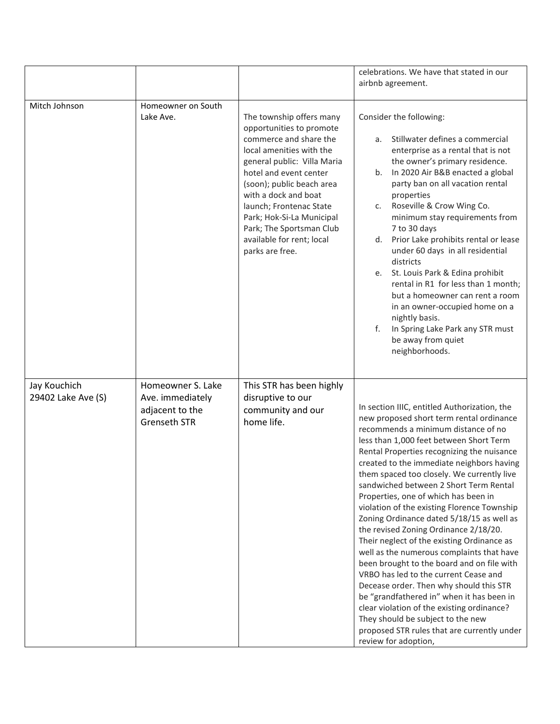|                                    |                                                                                 |                                                                                                                                                                                                                                                                                                                                                              | celebrations. We have that stated in our                                                                                                                                                                                                                                                                                                                                                                                                                                                                                                                                                                                                                                                                                                                                                                                                                                                                                                                                       |
|------------------------------------|---------------------------------------------------------------------------------|--------------------------------------------------------------------------------------------------------------------------------------------------------------------------------------------------------------------------------------------------------------------------------------------------------------------------------------------------------------|--------------------------------------------------------------------------------------------------------------------------------------------------------------------------------------------------------------------------------------------------------------------------------------------------------------------------------------------------------------------------------------------------------------------------------------------------------------------------------------------------------------------------------------------------------------------------------------------------------------------------------------------------------------------------------------------------------------------------------------------------------------------------------------------------------------------------------------------------------------------------------------------------------------------------------------------------------------------------------|
|                                    |                                                                                 |                                                                                                                                                                                                                                                                                                                                                              | airbnb agreement.                                                                                                                                                                                                                                                                                                                                                                                                                                                                                                                                                                                                                                                                                                                                                                                                                                                                                                                                                              |
|                                    |                                                                                 |                                                                                                                                                                                                                                                                                                                                                              |                                                                                                                                                                                                                                                                                                                                                                                                                                                                                                                                                                                                                                                                                                                                                                                                                                                                                                                                                                                |
| Mitch Johnson                      | Homeowner on South<br>Lake Ave.                                                 | The township offers many<br>opportunities to promote<br>commerce and share the<br>local amenities with the<br>general public: Villa Maria<br>hotel and event center<br>(soon); public beach area<br>with a dock and boat<br>launch; Frontenac State<br>Park; Hok-Si-La Municipal<br>Park; The Sportsman Club<br>available for rent; local<br>parks are free. | Consider the following:<br>Stillwater defines a commercial<br>a.<br>enterprise as a rental that is not<br>the owner's primary residence.<br>b. In 2020 Air B&B enacted a global<br>party ban on all vacation rental<br>properties<br>Roseville & Crow Wing Co.<br>c.<br>minimum stay requirements from<br>7 to 30 days<br>Prior Lake prohibits rental or lease<br>d.<br>under 60 days in all residential<br>districts<br>St. Louis Park & Edina prohibit<br>e.<br>rental in R1 for less than 1 month;<br>but a homeowner can rent a room<br>in an owner-occupied home on a<br>nightly basis.<br>f.<br>In Spring Lake Park any STR must<br>be away from quiet<br>neighborhoods.                                                                                                                                                                                                                                                                                                 |
| Jay Kouchich<br>29402 Lake Ave (S) | Homeowner S. Lake<br>Ave. immediately<br>adjacent to the<br><b>Grenseth STR</b> | This STR has been highly<br>disruptive to our<br>community and our<br>home life.                                                                                                                                                                                                                                                                             | In section IIIC, entitled Authorization, the<br>new proposed short term rental ordinance<br>recommends a minimum distance of no<br>less than 1,000 feet between Short Term<br>Rental Properties recognizing the nuisance<br>created to the immediate neighbors having<br>them spaced too closely. We currently live<br>sandwiched between 2 Short Term Rental<br>Properties, one of which has been in<br>violation of the existing Florence Township<br>Zoning Ordinance dated 5/18/15 as well as<br>the revised Zoning Ordinance 2/18/20.<br>Their neglect of the existing Ordinance as<br>well as the numerous complaints that have<br>been brought to the board and on file with<br>VRBO has led to the current Cease and<br>Decease order. Then why should this STR<br>be "grandfathered in" when it has been in<br>clear violation of the existing ordinance?<br>They should be subject to the new<br>proposed STR rules that are currently under<br>review for adoption, |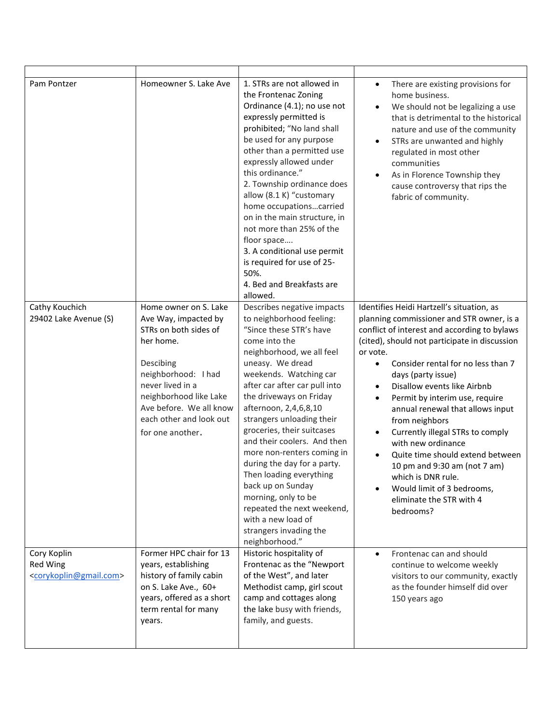| Pam Pontzer                                                              | Homeowner S. Lake Ave                                                                                                                                                                                                  | 1. STRs are not allowed in<br>the Frontenac Zoning<br>Ordinance (4.1); no use not<br>expressly permitted is<br>prohibited; "No land shall<br>be used for any purpose<br>other than a permitted use<br>expressly allowed under<br>this ordinance."<br>2. Township ordinance does<br>allow (8.1 K) "customary<br>home occupationscarried<br>on in the main structure, in<br>not more than 25% of the<br>floor space<br>3. A conditional use permit<br>is required for use of 25-<br>50%.<br>4. Bed and Breakfasts are<br>allowed.                                    | There are existing provisions for<br>$\bullet$<br>home business.<br>We should not be legalizing a use<br>$\bullet$<br>that is detrimental to the historical<br>nature and use of the community<br>STRs are unwanted and highly<br>$\bullet$<br>regulated in most other<br>communities<br>As in Florence Township they<br>$\bullet$<br>cause controversy that rips the<br>fabric of community.                                                                                                                                                                                                                                         |
|--------------------------------------------------------------------------|------------------------------------------------------------------------------------------------------------------------------------------------------------------------------------------------------------------------|--------------------------------------------------------------------------------------------------------------------------------------------------------------------------------------------------------------------------------------------------------------------------------------------------------------------------------------------------------------------------------------------------------------------------------------------------------------------------------------------------------------------------------------------------------------------|---------------------------------------------------------------------------------------------------------------------------------------------------------------------------------------------------------------------------------------------------------------------------------------------------------------------------------------------------------------------------------------------------------------------------------------------------------------------------------------------------------------------------------------------------------------------------------------------------------------------------------------|
| Cathy Kouchich                                                           | Home owner on S. Lake                                                                                                                                                                                                  | Describes negative impacts                                                                                                                                                                                                                                                                                                                                                                                                                                                                                                                                         | Identifies Heidi Hartzell's situation, as                                                                                                                                                                                                                                                                                                                                                                                                                                                                                                                                                                                             |
| 29402 Lake Avenue (S)                                                    | Ave Way, impacted by<br>STRs on both sides of<br>her home.<br>Descibing<br>neighborhood: I had<br>never lived in a<br>neighborhood like Lake<br>Ave before. We all know<br>each other and look out<br>for one another. | to neighborhood feeling:<br>"Since these STR's have<br>come into the<br>neighborhood, we all feel<br>uneasy. We dread<br>weekends. Watching car<br>after car after car pull into<br>the driveways on Friday<br>afternoon, 2,4,6,8,10<br>strangers unloading their<br>groceries, their suitcases<br>and their coolers. And then<br>more non-renters coming in<br>during the day for a party.<br>Then loading everything<br>back up on Sunday<br>morning, only to be<br>repeated the next weekend,<br>with a new load of<br>strangers invading the<br>neighborhood." | planning commissioner and STR owner, is a<br>conflict of interest and according to bylaws<br>(cited), should not participate in discussion<br>or vote.<br>Consider rental for no less than 7<br>$\bullet$<br>days (party issue)<br>Disallow events like Airbnb<br>$\bullet$<br>Permit by interim use, require<br>$\bullet$<br>annual renewal that allows input<br>from neighbors<br>Currently illegal STRs to comply<br>$\bullet$<br>with new ordinance<br>Quite time should extend between<br>$\bullet$<br>10 pm and 9:30 am (not 7 am)<br>which is DNR rule.<br>Would limit of 3 bedrooms,<br>eliminate the STR with 4<br>bedrooms? |
| Cory Koplin<br>Red Wing<br><corykoplin@gmail.com></corykoplin@gmail.com> | Former HPC chair for 13<br>years, establishing<br>history of family cabin<br>on S. Lake Ave., 60+<br>years, offered as a short<br>term rental for many<br>years.                                                       | Historic hospitality of<br>Frontenac as the "Newport<br>of the West", and later<br>Methodist camp, girl scout<br>camp and cottages along<br>the lake busy with friends,<br>family, and guests.                                                                                                                                                                                                                                                                                                                                                                     | Frontenac can and should<br>$\bullet$<br>continue to welcome weekly<br>visitors to our community, exactly<br>as the founder himself did over<br>150 years ago                                                                                                                                                                                                                                                                                                                                                                                                                                                                         |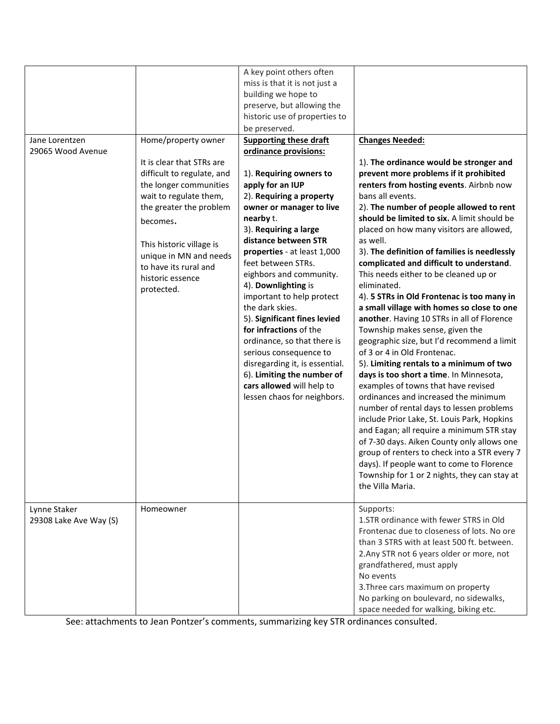| Jane Lorentzen<br>29065 Wood Avenue    | Home/property owner<br>It is clear that STRs are<br>difficult to regulate, and<br>the longer communities<br>wait to regulate them,<br>the greater the problem<br>becomes.<br>This historic village is<br>unique in MN and needs<br>to have its rural and<br>historic essence<br>protected. | A key point others often<br>miss is that it is not just a<br>building we hope to<br>preserve, but allowing the<br>historic use of properties to<br>be preserved.<br><b>Supporting these draft</b><br>ordinance provisions:<br>1). Requiring owners to<br>apply for an IUP<br>2). Requiring a property<br>owner or manager to live<br>nearby t.<br>3). Requiring a large<br>distance between STR<br>properties - at least 1,000<br>feet between STRs.<br>eighbors and community.<br>4). Downlighting is<br>important to help protect<br>the dark skies.<br>5). Significant fines levied<br>for infractions of the<br>ordinance, so that there is<br>serious consequence to<br>disregarding it, is essential.<br>6). Limiting the number of<br>cars allowed will help to<br>lessen chaos for neighbors. | <b>Changes Needed:</b><br>1). The ordinance would be stronger and<br>prevent more problems if it prohibited<br>renters from hosting events. Airbnb now<br>bans all events.<br>2). The number of people allowed to rent<br>should be limited to six. A limit should be<br>placed on how many visitors are allowed,<br>as well.<br>3). The definition of families is needlessly<br>complicated and difficult to understand.<br>This needs either to be cleaned up or<br>eliminated.<br>4). 5 STRs in Old Frontenac is too many in<br>a small village with homes so close to one<br>another. Having 10 STRs in all of Florence<br>Township makes sense, given the<br>geographic size, but I'd recommend a limit<br>of 3 or 4 in Old Frontenac.<br>5). Limiting rentals to a minimum of two<br>days is too short a time. In Minnesota,<br>examples of towns that have revised<br>ordinances and increased the minimum<br>number of rental days to lessen problems<br>include Prior Lake, St. Louis Park, Hopkins |
|----------------------------------------|--------------------------------------------------------------------------------------------------------------------------------------------------------------------------------------------------------------------------------------------------------------------------------------------|-------------------------------------------------------------------------------------------------------------------------------------------------------------------------------------------------------------------------------------------------------------------------------------------------------------------------------------------------------------------------------------------------------------------------------------------------------------------------------------------------------------------------------------------------------------------------------------------------------------------------------------------------------------------------------------------------------------------------------------------------------------------------------------------------------|--------------------------------------------------------------------------------------------------------------------------------------------------------------------------------------------------------------------------------------------------------------------------------------------------------------------------------------------------------------------------------------------------------------------------------------------------------------------------------------------------------------------------------------------------------------------------------------------------------------------------------------------------------------------------------------------------------------------------------------------------------------------------------------------------------------------------------------------------------------------------------------------------------------------------------------------------------------------------------------------------------------|
|                                        |                                                                                                                                                                                                                                                                                            |                                                                                                                                                                                                                                                                                                                                                                                                                                                                                                                                                                                                                                                                                                                                                                                                       | and Eagan; all require a minimum STR stay<br>of 7-30 days. Aiken County only allows one<br>group of renters to check into a STR every 7<br>days). If people want to come to Florence<br>Township for 1 or 2 nights, they can stay at<br>the Villa Maria.                                                                                                                                                                                                                                                                                                                                                                                                                                                                                                                                                                                                                                                                                                                                                     |
| Lynne Staker<br>29308 Lake Ave Way (S) | Homeowner                                                                                                                                                                                                                                                                                  |                                                                                                                                                                                                                                                                                                                                                                                                                                                                                                                                                                                                                                                                                                                                                                                                       | Supports:<br>1. STR ordinance with fewer STRS in Old<br>Frontenac due to closeness of lots. No ore<br>than 3 STRS with at least 500 ft. between.<br>2. Any STR not 6 years older or more, not<br>grandfathered, must apply<br>No events<br>3. Three cars maximum on property<br>No parking on boulevard, no sidewalks,<br>space needed for walking, biking etc.                                                                                                                                                                                                                                                                                                                                                                                                                                                                                                                                                                                                                                              |

See: attachments to Jean Pontzer's comments, summarizing key STR ordinances consulted.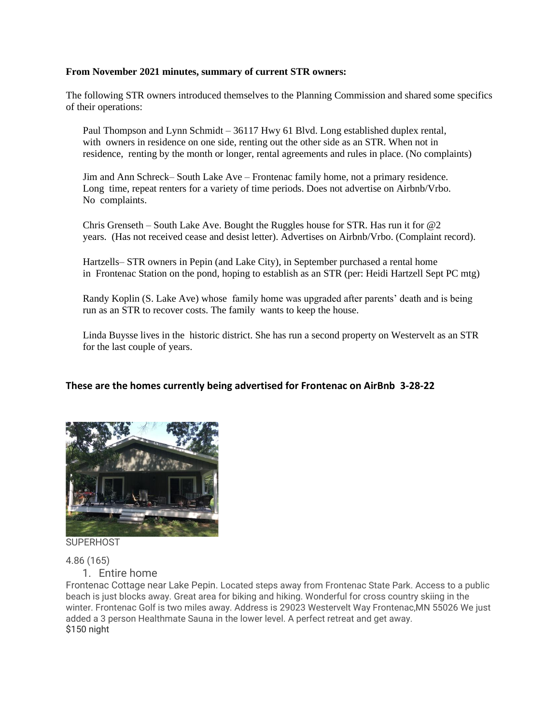## **From November 2021 minutes, summary of current STR owners:**

The following STR owners introduced themselves to the Planning Commission and shared some specifics of their operations:

Paul Thompson and Lynn Schmidt – 36117 Hwy 61 Blvd. Long established duplex rental, with owners in residence on one side, renting out the other side as an STR. When not in residence, renting by the month or longer, rental agreements and rules in place. (No complaints)

Jim and Ann Schreck– South Lake Ave – Frontenac family home, not a primary residence. Long time, repeat renters for a variety of time periods. Does not advertise on Airbnb/Vrbo. No complaints.

Chris Grenseth – South Lake Ave. Bought the Ruggles house for STR. Has run it for @2 years. (Has not received cease and desist letter). Advertises on Airbnb/Vrbo. (Complaint record).

Hartzells– STR owners in Pepin (and Lake City), in September purchased a rental home in Frontenac Station on the pond, hoping to establish as an STR (per: Heidi Hartzell Sept PC mtg)

Randy Koplin (S. Lake Ave) whose family home was upgraded after parents' death and is being run as an STR to recover costs. The family wants to keep the house.

Linda Buysse lives in the historic district. She has run a second property on Westervelt as an STR for the last couple of years.

## **These are the homes currently being advertised for Frontenac on AirBnb 3-28-22**



**SUPERHOST** 

4.86 (165)

1. Entire home

Frontenac Cottage near Lake Pepin. Located steps away from Frontenac State Park. Access to a public beach is just blocks away. Great area for biking and hiking. Wonderful for cross country skiing in the winter. Frontenac Golf is two miles away. Address is 29023 Westervelt Way Frontenac,MN 55026 We just added a 3 person Healthmate Sauna in the lower level. A perfect retreat and get away. \$150 night